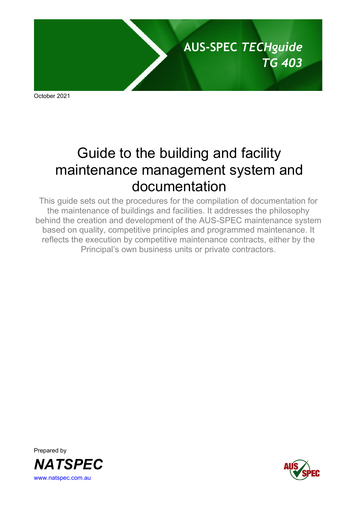

October 2021

# Guide to the building and facility maintenance management system and documentation

This guide sets out the procedures for the compilation of documentation for the maintenance of buildings and facilities. It addresses the philosophy behind the creation and development of the AUS-SPEC maintenance system based on quality, competitive principles and programmed maintenance. It reflects the execution by competitive maintenance contracts, either by the Principal's own business units or private contractors.



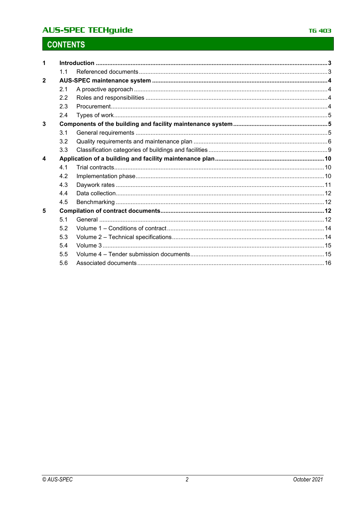# **AUS-SPEC TECHguide**

# **CONTENTS**

| 1                |     |  |  |  |  |
|------------------|-----|--|--|--|--|
|                  | 1.1 |  |  |  |  |
| $\mathbf{2}$     |     |  |  |  |  |
|                  | 2.1 |  |  |  |  |
|                  | 2.2 |  |  |  |  |
|                  | 2.3 |  |  |  |  |
|                  | 2.4 |  |  |  |  |
| 3                |     |  |  |  |  |
|                  | 3.1 |  |  |  |  |
|                  | 3.2 |  |  |  |  |
|                  | 3.3 |  |  |  |  |
| $\boldsymbol{4}$ |     |  |  |  |  |
|                  | 4.1 |  |  |  |  |
|                  | 4.2 |  |  |  |  |
|                  | 4.3 |  |  |  |  |
|                  | 4.4 |  |  |  |  |
|                  | 4.5 |  |  |  |  |
| 5                |     |  |  |  |  |
|                  | 5.1 |  |  |  |  |
|                  | 5.2 |  |  |  |  |
|                  | 5.3 |  |  |  |  |
|                  | 5.4 |  |  |  |  |
|                  | 5.5 |  |  |  |  |
|                  | 5.6 |  |  |  |  |
|                  |     |  |  |  |  |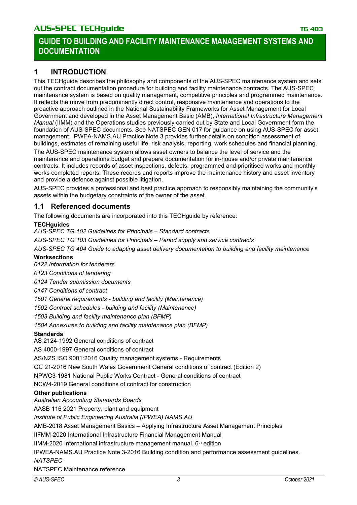# **1 INTRODUCTION**

This TECHguide describes the philosophy and components of the AUS-SPEC maintenance system and sets out the contract documentation procedure for building and facility maintenance contracts. The AUS-SPEC maintenance system is based on quality management, competitive principles and programmed maintenance. It reflects the move from predominantly direct control, responsive maintenance and operations to the proactive approach outlined in the National Sustainability Frameworks for Asset Management for Local Government and developed in the Asset Management Basic (AMB), *International Infrastructure Management Manual* (IIMM) and the Operations studies previously carried out by State and Local Government form the foundation of AUS-SPEC documents. See NATSPEC GEN 017 for guidance on using AUS-SPEC for asset management. IPWEA-NAMS.AU Practice Note 3 provides further details on condition assessment of buildings, estimates of remaining useful life, risk analysis, reporting, work schedules and financial planning.

The AUS-SPEC maintenance system allows asset owners to balance the level of service and the maintenance and operations budget and prepare documentation for in-house and/or private maintenance contracts. It includes records of asset inspections, defects, programmed and prioritised works and monthly works completed reports. These records and reports improve the maintenance history and asset inventory and provide a defence against possible litigation.

AUS-SPEC provides a professional and best practice approach to responsibly maintaining the community's assets within the budgetary constraints of the owner of the asset.

### **1.1 Referenced documents**

The following documents are incorporated into this TECHguide by reference:

### **TECHguides**

*AUS-SPEC TG 102 Guidelines for Principals – Standard contracts*

*AUS-SPEC TG 103 Guidelines for Principals – Period supply and service contracts*

*AUS-SPEC TG 404 Guide to adapting asset delivery documentation to building and facility maintenance*

### **Worksections**

*0122 Information for tenderers*

*0123 Conditions of tendering*

*0124 Tender submission documents*

*0147 Conditions of contract*

*1501 General requirements - building and facility (Maintenance)*

*1502 Contract schedules - building and facility (Maintenance)*

*1503 Building and facility maintenance plan (BFMP)*

*1504 Annexures to building and facility maintenance plan (BFMP)*

### **Standards**

AS 2124-1992 General conditions of contract

AS 4000-1997 General conditions of contract

AS/NZS ISO 9001:2016 Quality management systems - Requirements

GC 21-2016 New South Wales Government General conditions of contract (Edition 2)

NPWC3-1981 National Public Works Contract - General conditions of contract

NCW4-2019 General conditions of contract for construction

### **Other publications**

*Australian Accounting Standards Boards*

AASB 116 2021 Property, plant and equipment

*Institute of Public Engineering Australia (IPWEA) NAMS.AU*

AMB-2018 Asset Management Basics – Applying Infrastructure Asset Management Principles

IIFMM-2020 International Infrastructure Financial Management Manual

IIMM-2020 International infrastructure management manual.  $6<sup>th</sup>$  edition

IPWEA-NAMS.AU Practice Note 3-2016 Building condition and performance assessment guidelines. *NATSPEC*

NATSPEC Maintenance reference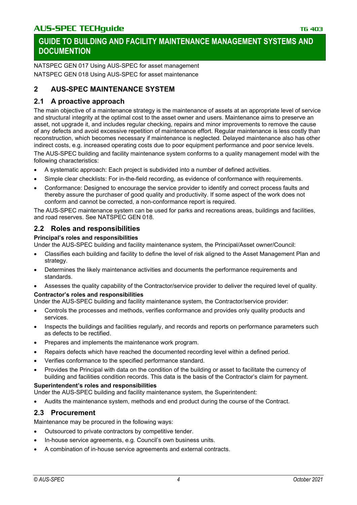NATSPEC GEN 017 Using AUS-SPEC for asset management NATSPEC GEN 018 Using AUS-SPEC for asset maintenance

# **2 AUS-SPEC MAINTENANCE SYSTEM**

# **2.1 A proactive approach**

The main objective of a maintenance strategy is the maintenance of assets at an appropriate level of service and structural integrity at the optimal cost to the asset owner and users. Maintenance aims to preserve an asset, not upgrade it, and includes regular checking, repairs and minor improvements to remove the cause of any defects and avoid excessive repetition of maintenance effort. Regular maintenance is less costly than reconstruction, which becomes necessary if maintenance is neglected. Delayed maintenance also has other indirect costs, e.g. increased operating costs due to poor equipment performance and poor service levels.

The AUS-SPEC building and facility maintenance system conforms to a quality management model with the following characteristics:

- A systematic approach: Each project is subdivided into a number of defined activities.
- Simple clear checklists: For in-the-field recording, as evidence of conformance with requirements.
- Conformance: Designed to encourage the service provider to identify and correct process faults and thereby assure the purchaser of good quality and productivity. If some aspect of the work does not conform and cannot be corrected, a non-conformance report is required.

The AUS-SPEC maintenance system can be used for parks and recreations areas, buildings and facilities, and road reserves. See NATSPEC GEN 018.

### **2.2 Roles and responsibilities**

### **Principal's roles and responsibilities**

Under the AUS-SPEC building and facility maintenance system, the Principal/Asset owner/Council:

- Classifies each building and facility to define the level of risk aligned to the Asset Management Plan and strategy.
- Determines the likely maintenance activities and documents the performance requirements and standards.
- Assesses the quality capability of the Contractor/service provider to deliver the required level of quality.

### **Contractor's roles and responsibilities**

Under the AUS-SPEC building and facility maintenance system, the Contractor/service provider:

- Controls the processes and methods, verifies conformance and provides only quality products and services.
- Inspects the buildings and facilities regularly, and records and reports on performance parameters such as defects to be rectified.
- Prepares and implements the maintenance work program.
- Repairs defects which have reached the documented recording level within a defined period.
- Verifies conformance to the specified performance standard.
- Provides the Principal with data on the condition of the building or asset to facilitate the currency of building and facilities condition records. This data is the basis of the Contractor's claim for payment.

### **Superintendent's roles and responsibilities**

Under the AUS-SPEC building and facility maintenance system, the Superintendent:

• Audits the maintenance system, methods and end product during the course of the Contract.

### **2.3 Procurement**

Maintenance may be procured in the following ways:

- Outsourced to private contractors by competitive tender.
- In-house service agreements, e.g. Council's own business units.
- A combination of in-house service agreements and external contracts.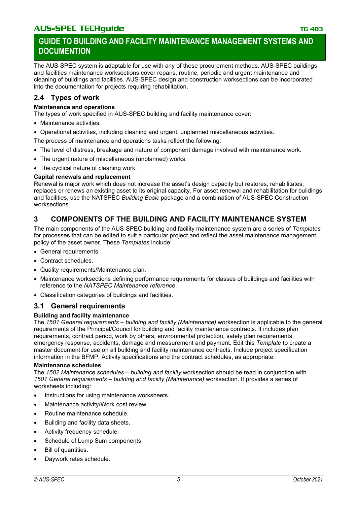The AUS-SPEC system is adaptable for use with any of these procurement methods. AUS-SPEC buildings and facilities maintenance worksections cover repairs, routine, periodic and urgent maintenance and cleaning of buildings and facilities. AUS-SPEC design and construction worksections can be incorporated into the documentation for projects requiring rehabilitation.

# **2.4 Types of work**

### **Maintenance and operations**

The types of work specified in AUS-SPEC building and facility maintenance cover:

- Maintenance activities.
- Operational activities, including cleaning and urgent, unplanned miscellaneous activities.

The process of maintenance and operations tasks reflect the following:

- The level of distress, breakage and nature of component damage involved with maintenance work.
- The urgent nature of miscellaneous (unplanned) works.
- The cyclical nature of cleaning work.

### **Capital renewals and replacement**

Renewal is major work which does not increase the asset's design capacity but restores, rehabilitates, replaces or renews an existing asset to its original capacity. For asset renewal and rehabilitation for buildings and facilities, use the NATSPEC *Building Basic* package and a combination of AUS-SPEC Construction worksections.

# **3 COMPONENTS OF THE BUILDING AND FACILITY MAINTENANCE SYSTEM**

The main components of the AUS-SPEC building and facility maintenance system are a series of *Templates* for processes that can be edited to suit a particular project and reflect the asset maintenance management policy of the asset owner. These *Templates* include:

- General requirements.
- Contract schedules.
- Quality requirements/Maintenance plan.
- Maintenance worksections defining performance requirements for classes of buildings and facilities with reference to the *NATSPEC Maintenance reference*.
- Classification categories of buildings and facilities.

# **3.1 General requirements**

### **Building and facility maintenance**

The *1501 General requirements – building and facility (Maintenance)* worksection is applicable to the general requirements of the Principal/Council for building and facility maintenance contracts. It includes plan requirements, contract period, work by others, environmental protection, safety plan requirements, emergency response, accidents, damage and measurement and payment. Edit this *Template* to create a master document for use on all building and facility maintenance contracts. Include project specification information in the BFMP, Activity specifications and the contract schedules, as appropriate.

### **Maintenance schedules**

The *1502 Maintenance schedules – building and facility* worksection should be read in conjunction with *1501 General requirements – building and facility (Maintenance)* worksection. It provides a series of worksheets including:

- Instructions for using maintenance worksheets.
- Maintenance activity/Work cost review.
- Routine maintenance schedule.
- Building and facility data sheets.
- Activity frequency schedule.
- Schedule of Lump Sum components
- Bill of quantities.
- Daywork rates schedule.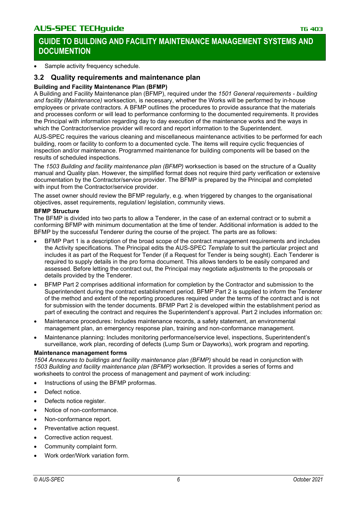Sample activity frequency schedule.

# **3.2 Quality requirements and maintenance plan**

### **Building and Facility Maintenance Plan (BFMP)**

A Building and Facility Maintenance plan (BFMP), required under the *1501 General requirements - building and facility (Maintenance)* worksection*,* is necessary, whether the Works will be performed by in-house employees or private contractors. A BFMP outlines the procedures to provide assurance that the materials and processes conform or will lead to performance conforming to the documented requirements. It provides the Principal with information regarding day to day execution of the maintenance works and the ways in which the Contractor/service provider will record and report information to the Superintendent.

AUS-SPEC requires the various cleaning and miscellaneous maintenance activities to be performed for each building, room or facility to conform to a documented cycle. The items will require cyclic frequencies of inspection and/or maintenance. Programmed maintenance for building components will be based on the results of scheduled inspections.

The *1503 Building and facility maintenance plan (BFMP)* worksection is based on the structure of a Quality manual and Quality plan. However, the simplified format does not require third party verification or extensive documentation by the Contractor/service provider. The BFMP is prepared by the Principal and completed with input from the Contractor/service provider.

The asset owner should review the BFMP regularly, e.g. when triggered by changes to the organisational objectives, asset requirements, regulation/ legislation, community views.

#### **BFMP Structure**

The BFMP is divided into two parts to allow a Tenderer, in the case of an external contract or to submit a conforming BFMP with minimum documentation at the time of tender. Additional information is added to the BFMP by the successful Tenderer during the course of the project. The parts are as follows:

- BFMP Part 1 is a description of the broad scope of the contract management requirements and includes the Activity specifications. The Principal edits the AUS-SPEC *Template* to suit the particular project and includes it as part of the Request for Tender (if a Request for Tender is being sought). Each Tenderer is required to supply details in the pro forma document. This allows tenders to be easily compared and assessed. Before letting the contract out, the Principal may negotiate adjustments to the proposals or details provided by the Tenderer.
- BFMP Part 2 comprises additional information for completion by the Contractor and submission to the Superintendent during the contract establishment period. BFMP Part 2 is supplied to inform the Tenderer of the method and extent of the reporting procedures required under the terms of the contract and is not for submission with the tender documents. BFMP Part 2 is developed within the establishment period as part of executing the contract and requires the Superintendent's approval. Part 2 includes information on:
- Maintenance procedures: Includes maintenance records, a safety statement, an environmental management plan, an emergency response plan, training and non-conformance management.
- Maintenance planning: Includes monitoring performance/service level, inspections, Superintendent's surveillance, work plan, recording of defects (Lump Sum or Dayworks), work program and reporting.

#### **Maintenance management forms**

*1504 Annexures to buildings and facility maintenance plan (BFMP)* should be read in conjunction with *1503 Building and facility maintenance plan (BFMP)* worksection. It provides a series of forms and worksheets to control the process of management and payment of work including:

- Instructions of using the BFMP proformas.
- Defect notice.
- Defects notice register.
- Notice of non-conformance.
- Non-conformance report.
- Preventative action request.
- Corrective action request.
- Community complaint form.
- Work order/Work variation form.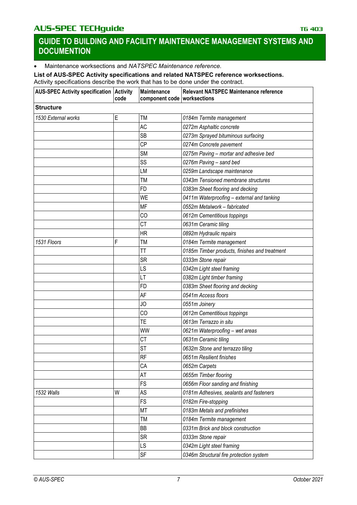• Maintenance worksections and *NATSPEC Maintenance reference.*

#### **List of AUS-SPEC Activity specifications and related NATSPEC reference worksections.** Activity specifications describe the work that has to be done under the contract.

| AUS-SPEC Activity specification Activity | code | Maintenance<br>component code worksections | Relevant NATSPEC Maintenance reference        |  |
|------------------------------------------|------|--------------------------------------------|-----------------------------------------------|--|
| <b>Structure</b>                         |      |                                            |                                               |  |
| 1530 External works                      | Е    | <b>TM</b>                                  | 0184m Termite management                      |  |
|                                          |      | <b>AC</b>                                  | 0272m Asphaltic concrete                      |  |
|                                          |      | <b>SB</b>                                  | 0273m Sprayed bituminous surfacing            |  |
|                                          |      | <b>CP</b>                                  | 0274m Concrete pavement                       |  |
|                                          |      | <b>SM</b>                                  | 0275m Paving - mortar and adhesive bed        |  |
|                                          |      | SS                                         | 0276m Paving - sand bed                       |  |
|                                          |      | LM                                         | 0259m Landscape maintenance                   |  |
|                                          |      | <b>TM</b>                                  | 0343m Tensioned membrane structures           |  |
|                                          |      | <b>FD</b>                                  | 0383m Sheet flooring and decking              |  |
|                                          |      | WE                                         | 0411m Waterproofing - external and tanking    |  |
|                                          |      | <b>MF</b>                                  | 0552m Metalwork - fabricated                  |  |
|                                          |      | CO                                         | 0612m Cementitious toppings                   |  |
|                                          |      | <b>CT</b>                                  | 0631m Ceramic tiling                          |  |
|                                          |      | <b>HR</b>                                  | 0892m Hydraulic repairs                       |  |
| 1531 Floors                              | F    | <b>TM</b>                                  | 0184m Termite management                      |  |
|                                          |      | <b>TT</b>                                  | 0185m Timber products, finishes and treatment |  |
|                                          |      | <b>SR</b>                                  | 0333m Stone repair                            |  |
|                                          |      | LS                                         | 0342m Light steel framing                     |  |
|                                          |      | LT                                         | 0382m Light timber framing                    |  |
|                                          |      | FD                                         | 0383m Sheet flooring and decking              |  |
|                                          |      | AF                                         | 0541m Access floors                           |  |
|                                          |      | JO                                         | 0551m Joinery                                 |  |
|                                          |      | CO                                         | 0612m Cementitious toppings                   |  |
|                                          |      | TE                                         | 0613m Terrazzo in situ                        |  |
|                                          |      | WW                                         | 0621m Waterproofing - wet areas               |  |
|                                          |      | <b>CT</b>                                  | 0631m Ceramic tiling                          |  |
|                                          |      | <b>ST</b>                                  | 0632m Stone and terrazzo tiling               |  |
|                                          |      | RF                                         | 0651m Resilient finishes                      |  |
|                                          |      | CA                                         | 0652m Carpets                                 |  |
|                                          |      | AT                                         | 0655m Timber flooring                         |  |
|                                          |      | FS                                         | 0656m Floor sanding and finishing             |  |
| 1532 Walls                               | W    | AS                                         | 0181m Adhesives, sealants and fasteners       |  |
|                                          |      | FS                                         | 0182m Fire-stopping                           |  |
|                                          |      | MT                                         | 0183m Metals and prefinishes                  |  |
|                                          |      | TM                                         | 0184m Termite management                      |  |
|                                          |      | BB                                         | 0331m Brick and block construction            |  |
|                                          |      | <b>SR</b>                                  | 0333m Stone repair                            |  |
|                                          |      | LS                                         | 0342m Light steel framing                     |  |
|                                          |      | <b>SF</b>                                  | 0346m Structural fire protection system       |  |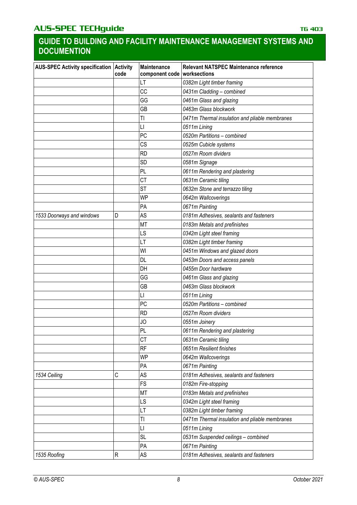| <b>AUS-SPEC Activity specification Activity</b> | code | Maintenance<br>component code   worksections | <b>Relevant NATSPEC Maintenance reference</b>  |
|-------------------------------------------------|------|----------------------------------------------|------------------------------------------------|
|                                                 |      | LT                                           | 0382m Light timber framing                     |
|                                                 |      | CC                                           | 0431m Cladding - combined                      |
|                                                 |      | GG                                           | 0461m Glass and glazing                        |
|                                                 |      | GB                                           | 0463m Glass blockwork                          |
|                                                 |      | TI                                           | 0471m Thermal insulation and pliable membranes |
|                                                 |      | П                                            | 0511m Lining                                   |
|                                                 |      | PC                                           | 0520m Partitions - combined                    |
|                                                 |      | CS                                           | 0525m Cubicle systems                          |
|                                                 |      | <b>RD</b>                                    | 0527m Room dividers                            |
|                                                 |      | SD                                           | 0581m Signage                                  |
|                                                 |      | PL                                           | 0611m Rendering and plastering                 |
|                                                 |      | <b>CT</b>                                    | 0631m Ceramic tiling                           |
|                                                 |      | <b>ST</b>                                    | 0632m Stone and terrazzo tiling                |
|                                                 |      | WP                                           | 0642m Wallcoverings                            |
|                                                 |      | PA                                           | 0671m Painting                                 |
| 1533 Doorways and windows                       | D    | AS                                           | 0181m Adhesives, sealants and fasteners        |
|                                                 |      | <b>MT</b>                                    | 0183m Metals and prefinishes                   |
|                                                 |      | LS                                           | 0342m Light steel framing                      |
|                                                 |      | LT                                           | 0382m Light timber framing                     |
|                                                 |      | WI                                           | 0451m Windows and glazed doors                 |
|                                                 |      | DL                                           | 0453m Doors and access panels                  |
|                                                 |      | DH                                           | 0455m Door hardware                            |
|                                                 |      | GG                                           | 0461m Glass and glazing                        |
|                                                 |      | GB                                           | 0463m Glass blockwork                          |
|                                                 |      | П                                            | 0511m Lining                                   |
|                                                 |      | PC                                           | 0520m Partitions - combined                    |
|                                                 |      | <b>RD</b>                                    | 0527m Room dividers                            |
|                                                 |      | JO                                           | 0551m Joinery                                  |
|                                                 |      | PL                                           | 0611m Rendering and plastering                 |
|                                                 |      | <b>CT</b>                                    | 0631m Ceramic tiling                           |
|                                                 |      | RF                                           | 0651m Resilient finishes                       |
|                                                 |      | <b>WP</b>                                    | 0642m Wallcoverings                            |
|                                                 |      | PA                                           | 0671m Painting                                 |
| 1534 Ceiling                                    | C    | AS                                           | 0181m Adhesives, sealants and fasteners        |
|                                                 |      | <b>FS</b>                                    | 0182m Fire-stopping                            |
|                                                 |      | MT                                           | 0183m Metals and prefinishes                   |
|                                                 |      | LS                                           | 0342m Light steel framing                      |
|                                                 |      | LT                                           | 0382m Light timber framing                     |
|                                                 |      | TI                                           | 0471m Thermal insulation and pliable membranes |
|                                                 |      | $\mathsf{L}\mathsf{I}$                       | 0511m Lining                                   |
|                                                 |      | <b>SL</b>                                    | 0531m Suspended ceilings - combined            |
|                                                 |      | PA                                           | 0671m Painting                                 |
| 1535 Roofing                                    | R    | AS                                           | 0181m Adhesives, sealants and fasteners        |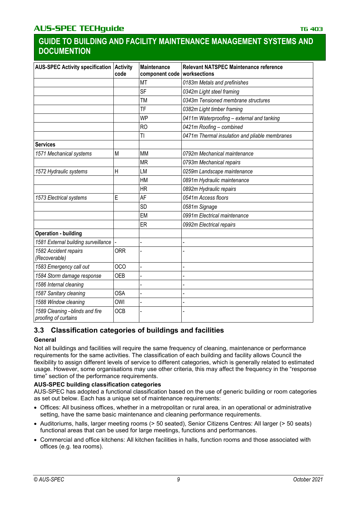| <b>AUS-SPEC Activity specification</b>                 | <b>Activity</b><br>code | <b>Maintenance</b><br>component code   worksections | Relevant NATSPEC Maintenance reference         |
|--------------------------------------------------------|-------------------------|-----------------------------------------------------|------------------------------------------------|
|                                                        |                         | <b>MT</b>                                           | 0183m Metals and prefinishes                   |
|                                                        |                         | <b>SF</b>                                           | 0342m Light steel framing                      |
|                                                        |                         | <b>TM</b>                                           | 0343m Tensioned membrane structures            |
|                                                        |                         | <b>TF</b>                                           | 0382m Light timber framing                     |
|                                                        |                         | <b>WP</b>                                           | 0411m Waterproofing - external and tanking     |
|                                                        |                         | <b>RO</b>                                           | 0421m Roofing - combined                       |
|                                                        |                         | $\overline{1}$                                      | 0471m Thermal insulation and pliable membranes |
| <b>Services</b>                                        |                         |                                                     |                                                |
| 1571 Mechanical systems                                | M                       | <b>MM</b>                                           | 0792m Mechanical maintenance                   |
|                                                        |                         | <b>MR</b>                                           | 0793m Mechanical repairs                       |
| 1572 Hydraulic systems                                 | Η                       | LM                                                  | 0259m Landscape maintenance                    |
|                                                        |                         | HM                                                  | 0891m Hydraulic maintenance                    |
|                                                        |                         | <b>HR</b>                                           | 0892m Hydraulic repairs                        |
| 1573 Electrical systems                                | E                       | AF                                                  | 0541m Access floors                            |
|                                                        |                         | SD                                                  | 0581m Signage                                  |
|                                                        |                         | EM                                                  | 0991m Electrical maintenance                   |
|                                                        |                         | ER                                                  | 0992m Electrical repairs                       |
| <b>Operation - building</b>                            |                         |                                                     |                                                |
| 1581 External building surveillance                    |                         |                                                     |                                                |
| 1582 Accident repairs<br>(Recoverable)                 | <b>ORR</b>              |                                                     |                                                |
| 1583 Emergency call out                                | <b>OCO</b>              |                                                     |                                                |
| 1584 Storm damage response                             | <b>OEB</b>              |                                                     |                                                |
| 1586 Internal cleaning                                 |                         |                                                     |                                                |
| 1587 Sanitary cleaning                                 | <b>OSA</b>              |                                                     |                                                |
| 1588 Window cleaning                                   | <b>OWI</b>              |                                                     |                                                |
| 1589 Cleaning -blinds and fire<br>proofing of curtains | <b>OCB</b>              |                                                     |                                                |

# **3.3 Classification categories of buildings and facilities**

# **General**

Not all buildings and facilities will require the same frequency of cleaning, maintenance or performance requirements for the same activities. The classification of each building and facility allows Council the flexibility to assign different levels of service to different categories, which is generally related to estimated usage. However, some organisations may use other criteria, this may affect the frequency in the "response time" section of the performance requirements.

# **AUS-SPEC building classification categories**

AUS-SPEC has adopted a functional classification based on the use of generic building or room categories as set out below. Each has a unique set of maintenance requirements:

- Offices: All business offices, whether in a metropolitan or rural area, in an operational or administrative setting, have the same basic maintenance and cleaning performance requirements.
- Auditoriums, halls, larger meeting rooms (> 50 seated), Senior Citizens Centres: All larger (> 50 seats) functional areas that can be used for large meetings, functions and performances.
- Commercial and office kitchens: All kitchen facilities in halls, function rooms and those associated with offices (e.g. tea rooms).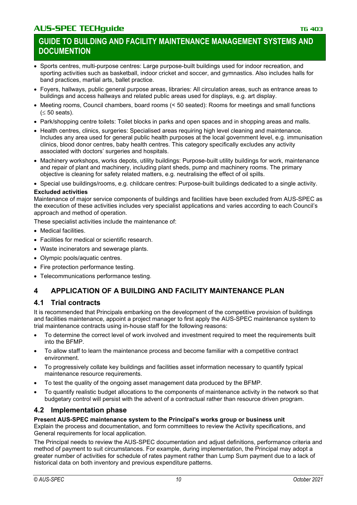- Sports centres, multi-purpose centres: Large purpose-built buildings used for indoor recreation, and sporting activities such as basketball, indoor cricket and soccer, and gymnastics. Also includes halls for band practices, martial arts, ballet practice.
- Foyers, hallways, public general purpose areas, libraries: All circulation areas, such as entrance areas to buildings and access hallways and related public areas used for displays, e.g. art display.
- Meeting rooms, Council chambers, board rooms (< 50 seated): Rooms for meetings and small functions  $(\leq 50$  seats).
- Park/shopping centre toilets: Toilet blocks in parks and open spaces and in shopping areas and malls.
- Health centres, clinics, surgeries: Specialised areas requiring high level cleaning and maintenance. Includes any area used for general public health purposes at the local government level, e.g. immunisation clinics, blood donor centres, baby health centres. This category specifically excludes any activity associated with doctors' surgeries and hospitals.
- Machinery workshops, works depots, utility buildings: Purpose-built utility buildings for work, maintenance and repair of plant and machinery, including plant sheds, pump and machinery rooms. The primary objective is cleaning for safety related matters, e.g. neutralising the effect of oil spills.
- Special use buildings/rooms, e.g. childcare centres: Purpose-built buildings dedicated to a single activity.

# **Excluded activities**

Maintenance of major service components of buildings and facilities have been excluded from AUS-SPEC as the execution of these activities includes very specialist applications and varies according to each Council's approach and method of operation.

These specialist activities include the maintenance of:

- Medical facilities.
- Facilities for medical or scientific research.
- Waste incinerators and sewerage plants.
- Olympic pools/aquatic centres.
- Fire protection performance testing.
- Telecommunications performance testing.

# **4 APPLICATION OF A BUILDING AND FACILITY MAINTENANCE PLAN**

# **4.1 Trial contracts**

It is recommended that Principals embarking on the development of the competitive provision of buildings and facilities maintenance, appoint a project manager to first apply the AUS-SPEC maintenance system to trial maintenance contracts using in-house staff for the following reasons:

- To determine the correct level of work involved and investment required to meet the requirements built into the BFMP.
- To allow staff to learn the maintenance process and become familiar with a competitive contract environment.
- To progressively collate key buildings and facilities asset information necessary to quantify typical maintenance resource requirements.
- To test the quality of the ongoing asset management data produced by the BFMP.
- To quantify realistic budget allocations to the components of maintenance activity in the network so that budgetary control will persist with the advent of a contractual rather than resource driven program.

# **4.2 Implementation phase**

# **Present AUS-SPEC maintenance system to the Principal's works group or business unit**

Explain the process and documentation, and form committees to review the Activity specifications, and General requirements for local application.

The Principal needs to review the AUS-SPEC documentation and adjust definitions, performance criteria and method of payment to suit circumstances. For example, during implementation, the Principal may adopt a greater number of activities for schedule of rates payment rather than Lump Sum payment due to a lack of historical data on both inventory and previous expenditure patterns.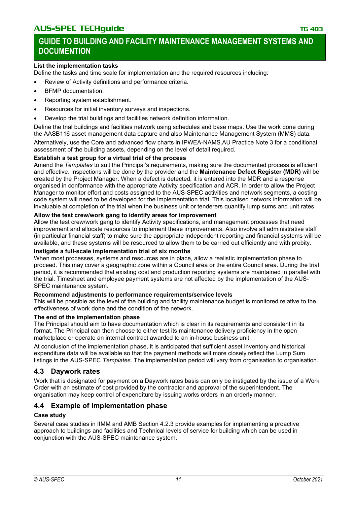### **List the implementation tasks**

Define the tasks and time scale for implementation and the required resources including:

- Review of Activity definitions and performance criteria.
- BFMP documentation.
- Reporting system establishment.
- Resources for initial inventory surveys and inspections.
- Develop the trial buildings and facilities network definition information.

Define the trial buildings and facilities network using schedules and base maps. Use the work done during the AASB116 asset management data capture and also Maintenance Management System (MMS) data.

Alternatively, use the Core and advanced flow charts in IPWEA-NAMS.AU Practice Note 3 for a conditional assessment of the building assets, depending on the level of detail required.

### **Establish a test group for a virtual trial of the process**

Amend the *Templates* to suit the Principal's requirements, making sure the documented process is efficient and effective. Inspections will be done by the provider and the **Maintenance Defect Register (MDR)** will be created by the Project Manager. When a defect is detected, it is entered into the MDR and a response organised in conformance with the appropriate Activity specification and ACR. In order to allow the Project Manager to monitor effort and costs assigned to the AUS-SPEC activities and network segments, a costing code system will need to be developed for the implementation trial. This localised network information will be invaluable at completion of the trial when the business unit or tenderers quantify lump sums and unit rates.

### **Allow the test crew/work gang to identify areas for improvement**

Allow the test crew/work gang to identify Activity specifications, and management processes that need improvement and allocate resources to implement these improvements. Also involve all administrative staff (in particular financial staff) to make sure the appropriate independent reporting and financial systems will be available, and these systems will be resourced to allow them to be carried out efficiently and with probity.

### **Instigate a full-scale implementation trial of six months**

When most processes, systems and resources are in place, allow a realistic implementation phase to proceed. This may cover a geographic zone within a Council area or the entire Council area. During the trial period, it is recommended that existing cost and production reporting systems are maintained in parallel with the trial. Timesheet and employee payment systems are not affected by the implementation of the AUS-SPEC maintenance system.

### **Recommend adjustments to performance requirements/service levels**

This will be possible as the level of the building and facility maintenance budget is monitored relative to the effectiveness of work done and the condition of the network.

### **The end of the implementation phase**

The Principal should aim to have documentation which is clear in its requirements and consistent in its format. The Principal can then choose to either test its maintenance delivery proficiency in the open marketplace or operate an internal contract awarded to an in-house business unit.

At conclusion of the implementation phase, it is anticipated that sufficient asset inventory and historical expenditure data will be available so that the payment methods will more closely reflect the Lump Sum listings in the AUS-SPEC *Templates*. The implementation period will vary from organisation to organisation.

# **4.3 Daywork rates**

Work that is designated for payment on a Daywork rates basis can only be instigated by the issue of a Work Order with an estimate of cost provided by the contractor and approval of the superintendent. The organisation may keep control of expenditure by issuing works orders in an orderly manner.

# **4.4 Example of implementation phase**

# **Case study**

Several case studies in IIMM and AMB Section 4.2.3 provide examples for implementing a proactive approach to buildings and facilities and Technical levels of service for building which can be used in conjunction with the AUS-SPEC maintenance system.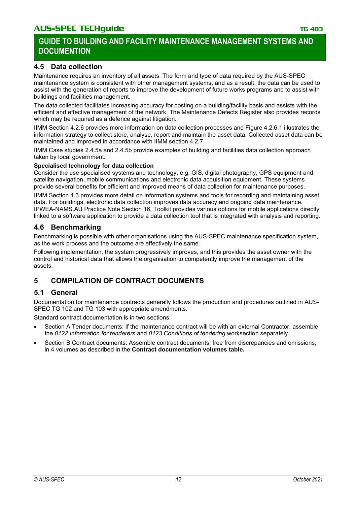# **4.5 Data collection**

Maintenance requires an inventory of all assets. The form and type of data required by the AUS-SPEC maintenance system is consistent with other management systems, and as a result, the data can be used to assist with the generation of reports to improve the development of future works programs and to assist with buildings and facilities management.

The data collected facilitates increasing accuracy for costing on a building/facility basis and assists with the efficient and effective management of the network. The Maintenance Defects Register also provides records which may be required as a defence against litigation.

IIMM Section 4.2.6 provides more information on data collection processes and Figure 4.2.6.1 illustrates the information strategy to collect store, analyse, report and maintain the asset data. Collected asset data can be maintained and improved in accordance with IIMM section 4.2.7.

IIMM Case studies 2.4.5a and 2.4.5b provide examples of building and facilities data collection approach taken by local government.

#### **Specialised technology for data collection**

Consider the use specialised systems and technology, e.g. GIS, digital photography, GPS equipment and satellite navigation, mobile communications and electronic data acquisition equipment. These systems provide several benefits for efficient and improved means of data collection for maintenance purposes.

IIMM Section 4.3 provides more detail on information systems and tools for recording and maintaining asset data. For buildings, electronic data collection improves data accuracy and ongoing data maintenance. IPWEA-NAMS.AU Practice Note Section 16, Toolkit provides various options for mobile applications directly linked to a software application to provide a data collection tool that is integrated with analysis and reporting.

# **4.6 Benchmarking**

Benchmarking is possible with other organisations using the AUS-SPEC maintenance specification system, as the work process and the outcome are effectively the same.

Following implementation, the system progressively improves, and this provides the asset owner with the control and historical data that allows the organisation to competently improve the management of the assets.

# **5 COMPILATION OF CONTRACT DOCUMENTS**

### **5.1 General**

Documentation for maintenance contracts generally follows the production and procedures outlined in AUS-SPEC TG 102 and TG 103 with appropriate amendments.

Standard contract documentation is in two sections:

- Section A Tender documents: If the maintenance contract will be with an external Contractor, assemble the *0122 Information for tenderers* and *0123 Conditions of tendering* worksection separately.
- Section B Contract documents: Assemble contract documents, free from discrepancies and omissions, in 4 volumes as described in the **Contract documentation volumes table.**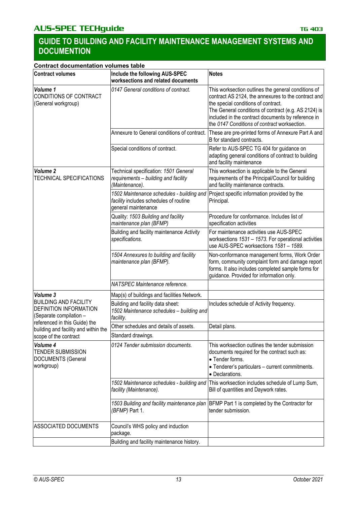| <b>Contract documentation volumes table</b>                                       |                                                                                                            |                                                                                                                                                                                                                                                                                                                 |
|-----------------------------------------------------------------------------------|------------------------------------------------------------------------------------------------------------|-----------------------------------------------------------------------------------------------------------------------------------------------------------------------------------------------------------------------------------------------------------------------------------------------------------------|
| <b>Contract volumes</b>                                                           | Include the following AUS-SPEC<br>worksections and related documents                                       | <b>Notes</b>                                                                                                                                                                                                                                                                                                    |
| Volume 1<br>CONDITIONS OF CONTRACT<br>(General workgroup)                         | 0147 General conditions of contract.                                                                       | This worksection outlines the general conditions of<br>contract AS 2124, the annexures to the contract and<br>the special conditions of contract.<br>The General conditions of contract (e.g. AS 2124) is<br>included in the contract documents by reference in<br>the 0147 Conditions of contract worksection. |
|                                                                                   | Annexure to General conditions of contract.                                                                | These are pre-printed forms of Annexure Part A and<br>B for standard contracts.                                                                                                                                                                                                                                 |
|                                                                                   | Special conditions of contract.                                                                            | Refer to AUS-SPEC TG 404 for guidance on<br>adapting general conditions of contract to building<br>and facility maintenance                                                                                                                                                                                     |
| Volume <sub>2</sub><br><b>TECHNICAL SPECIFICATIONS</b>                            | Technical specification: 1501 General<br>requirements - building and facility<br>(Maintenance).            | This worksection is applicable to the General<br>requirements of the Principal/Council for building<br>and facility maintenance contracts.                                                                                                                                                                      |
|                                                                                   | 1502 Maintenance schedules - building and<br>facility includes schedules of routine<br>general maintenance | Project specific information provided by the<br>Principal.                                                                                                                                                                                                                                                      |
|                                                                                   | Quality: 1503 Building and facility<br>maintenance plan (BFMP)                                             | Procedure for conformance. Includes list of<br>specification activities                                                                                                                                                                                                                                         |
|                                                                                   | Building and facility maintenance Activity<br>specifications.                                              | For maintenance activities use AUS-SPEC<br>worksections 1531 - 1573. For operational activities<br>use AUS-SPEC worksections 1581 - 1589.                                                                                                                                                                       |
|                                                                                   | 1504 Annexures to building and facility<br>maintenance plan (BFMP).                                        | Non-conformance management forms, Work Order<br>form, community complaint form and damage report<br>forms. It also includes completed sample forms for<br>guidance. Provided for information only.                                                                                                              |
|                                                                                   | NATSPEC Maintenance reference.                                                                             |                                                                                                                                                                                                                                                                                                                 |
| Volume 3                                                                          | Map(s) of buildings and facilities Network.                                                                |                                                                                                                                                                                                                                                                                                                 |
| <b>BUILDING AND FACILITY</b><br>DEFINITION INFORMATION<br>(Separate compilation - | Building and facility data sheet:<br>1502 Maintenance schedules - building and<br>facility.                | Includes schedule of Activity frequency.                                                                                                                                                                                                                                                                        |
| referenced in this Guide) the<br>building and facility and within the             | Other schedules and details of assets.                                                                     | Detail plans.                                                                                                                                                                                                                                                                                                   |
| scope of the contract                                                             | Standard drawings.                                                                                         |                                                                                                                                                                                                                                                                                                                 |
| Volume 4<br><b>TENDER SUBMISSION</b><br><b>DOCUMENTS (General</b><br>workgroup)   | 0124 Tender submission documents.                                                                          | This worksection outlines the tender submission<br>documents required for the contract such as:<br>• Tender forms.<br>• Tenderer's particulars - current commitments.<br>· Declarations.                                                                                                                        |
|                                                                                   | 1502 Maintenance schedules - building and<br>facility (Maintenance).                                       | This worksection includes schedule of Lump Sum,<br>Bill of quantities and Daywork rates.                                                                                                                                                                                                                        |
|                                                                                   | 1503 Building and facility maintenance plan<br>(BFMP) Part 1.                                              | BFMP Part 1 is completed by the Contractor for<br>tender submission.                                                                                                                                                                                                                                            |
| ASSOCIATED DOCUMENTS                                                              | Council's WHS policy and induction<br>package.                                                             |                                                                                                                                                                                                                                                                                                                 |
|                                                                                   | Building and facility maintenance history.                                                                 |                                                                                                                                                                                                                                                                                                                 |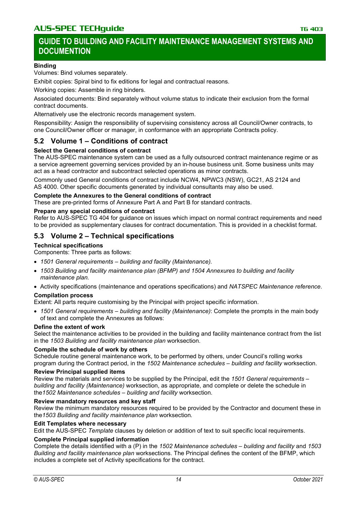#### **Binding**

Volumes: Bind volumes separately.

Exhibit copies: Spiral bind to fix editions for legal and contractual reasons.

Working copies: Assemble in ring binders.

Associated documents: Bind separately without volume status to indicate their exclusion from the formal contract documents.

Alternatively use the electronic records management system.

Responsibility: Assign the responsibility of supervising consistency across all Council/Owner contracts, to one Council/Owner officer or manager, in conformance with an appropriate Contracts policy.

# **5.2 Volume 1 – Conditions of contract**

#### **Select the General conditions of contract**

The AUS-SPEC maintenance system can be used as a fully outsourced contract maintenance regime or as a service agreement governing services provided by an in-house business unit. Some business units may act as a head contractor and subcontract selected operations as minor contracts.

Commonly used General conditions of contract include NCW4, NPWC3 (NSW), GC21, AS 2124 and AS 4000. Other specific documents generated by individual consultants may also be used.

#### **Complete the Annexures to the General conditions of contract**

These are pre-printed forms of Annexure Part A and Part B for standard contracts.

#### **Prepare any special conditions of contract**

Refer to AUS-SPEC TG 404 for guidance on issues which impact on normal contract requirements and need to be provided as supplementary clauses for contract documentation. This is provided in a checklist format.

### **5.3 Volume 2 – Technical specifications**

#### **Technical specifications**

Components: Three parts as follows:

- *1501 General requirements – building and facility (Maintenance).*
- *1503 Building and facility maintenance plan (BFMP) and 1504 Annexures to building and facility maintenance plan.*
- Activity specifications (maintenance and operations specifications) and *NATSPEC Maintenance reference*.

#### **Compilation process**

Extent: All parts require customising by the Principal with project specific information.

• *1501 General requirements – building and facility (Maintenance)*: Complete the prompts in the main body of text and complete the Annexures as follows:

#### **Define the extent of work**

Select the maintenance activities to be provided in the building and facility maintenance contract from the list in the *1503 Building and facility maintenance plan* worksection.

#### **Compile the schedule of work by others**

Schedule routine general maintenance work, to be performed by others, under Council's rolling works program during the Contract period, in the *1502 Maintenance schedules – building and facility* worksection.

#### **Review Principal supplied items**

Review the materials and services to be supplied by the Principal, edit the *1501 General requirements – building and facility (Maintenance)* worksection, as appropriate, and complete or delete the schedule in the*1502 Maintenance schedules – building and facility* worksection.

#### **Review mandatory resources and key staff**

Review the minimum mandatory resources required to be provided by the Contractor and document these in the*1503 Building and facility maintenance plan* worksection*.*

#### **Edit Templates where necessary**

Edit the AUS-SPEC *Template* clauses by deletion or addition of text to suit specific local requirements.

#### **Complete Principal supplied information**

Complete the details identified with a (P) in the *1502 Maintenance schedules – building and facility* and *1503 Building and facility maintenance plan* worksections. The Principal defines the content of the BFMP, which includes a complete set of Activity specifications for the contract.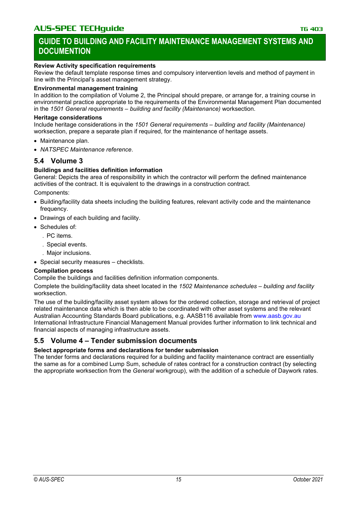### **Review Activity specification requirements**

Review the default template response times and compulsory intervention levels and method of payment in line with the Principal's asset management strategy.

### **Environmental management training**

In addition to the compilation of Volume 2, the Principal should prepare, or arrange for, a training course in environmental practice appropriate to the requirements of the Environmental Management Plan documented in the *1501 General requirements – building and facility (Maintenance)* worksection.

#### **Heritage considerations**

Include heritage considerations in the *1501 General requirements – building and facility (Maintenance)* worksection, prepare a separate plan if required, for the maintenance of heritage assets.

- Maintenance plan.
- *NATSPEC Maintenance reference*.

### **5.4 Volume 3**

### **Buildings and facilities definition information**

General: Depicts the area of responsibility in which the contractor will perform the defined maintenance activities of the contract. It is equivalent to the drawings in a construction contract.

Components:

- Building/facility data sheets including the building features, relevant activity code and the maintenance frequency.
- Drawings of each building and facility.
- Schedules of:
	- . PC items.
	- . Special events.
	- . Major inclusions.
- Special security measures checklists.

### **Compilation process**

Compile the buildings and facilities definition information components.

Complete the building/facility data sheet located in the *1502 Maintenance schedules – building and facility* worksection.

The use of the building/facility asset system allows for the ordered collection, storage and retrieval of project related maintenance data which is then able to be coordinated with other asset systems and the relevant Australian Accounting Standards Board publications, e.g. AASB116 available from [www.aasb.gov.au](https://www.aasb.gov.au/pronouncements) International Infrastructure Financial Management Manual provides further information to link technical and financial aspects of managing infrastructure assets.

# **5.5 Volume 4 – Tender submission documents**

### **Select appropriate forms and declarations for tender submission**

The tender forms and declarations required for a building and facility maintenance contract are essentially the same as for a combined Lump Sum, schedule of rates contract for a construction contract (by selecting the appropriate worksection from the *General* workgroup), with the addition of a schedule of Daywork rates.